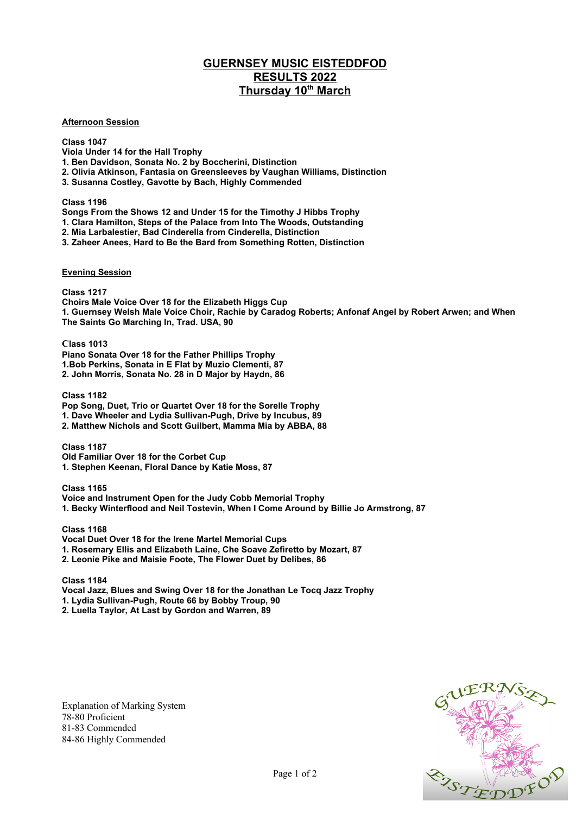## **GUERNSEY MUSIC EISTEDDFOD RESULTS 2022 Thursday 10th March**

## **Afternoon Session**

## **Class 1047**

**Viola Under 14 for the Hall Trophy**

**1. Ben Davidson, Sonata No. 2 by Boccherini, Distinction** 

**2. Olivia Atkinson, Fantasia on Greensleeves by Vaughan Williams, Distinction** 

**3. Susanna Costley, Gavotte by Bach, Highly Commended**

**Class 1196**

**Songs From the Shows 12 and Under 15 for the Timothy J Hibbs Trophy**

**1. Clara Hamilton, Steps of the Palace from Into The Woods, Outstanding**

**2. Mia Larbalestier, Bad Cinderella from Cinderella, Distinction**

**3. Zaheer Anees, Hard to Be the Bard from Something Rotten, Distinction** 

## **Evening Session**

**Class 1217**

**Choirs Male Voice Over 18 for the Elizabeth Higgs Cup 1. Guernsey Welsh Male Voice Choir, Rachie by Caradog Roberts; Anfonaf Angel by Robert Arwen; and When The Saints Go Marching In, Trad. USA, 90**

**Class 1013 Piano Sonata Over 18 for the Father Phillips Trophy 1.Bob Perkins, Sonata in E Flat by Muzio Clementi, 87 2. John Morris, Sonata No. 28 in D Major by Haydn, 86**

**Class 1182 Pop Song, Duet, Trio or Quartet Over 18 for the Sorelle Trophy 1. Dave Wheeler and Lydia Sullivan-Pugh, Drive by Incubus, 89 2. Matthew Nichols and Scott Guilbert, Mamma Mia by ABBA, 88**

**Class 1187 Old Familiar Over 18 for the Corbet Cup 1. Stephen Keenan, Floral Dance by Katie Moss, 87**

**Class 1165 Voice and Instrument Open for the Judy Cobb Memorial Trophy 1. Becky Winterflood and Neil Tostevin, When I Come Around by Billie Jo Armstrong, 87**

**Class 1168 Vocal Duet Over 18 for the Irene Martel Memorial Cups 1. Rosemary Ellis and Elizabeth Laine, Che Soave Zefiretto by Mozart, 87 2. Leonie Pike and Maisie Foote, The Flower Duet by Delibes, 86**

**Class 1184 Vocal Jazz, Blues and Swing Over 18 for the Jonathan Le Tocq Jazz Trophy 1. Lydia Sullivan-Pugh, Route 66 by Bobby Troup, 90 2. Luella Taylor, At Last by Gordon and Warren, 89**

Explanation of Marking System 78-80 Proficient 81-83 Commended 84-86 Highly Commended